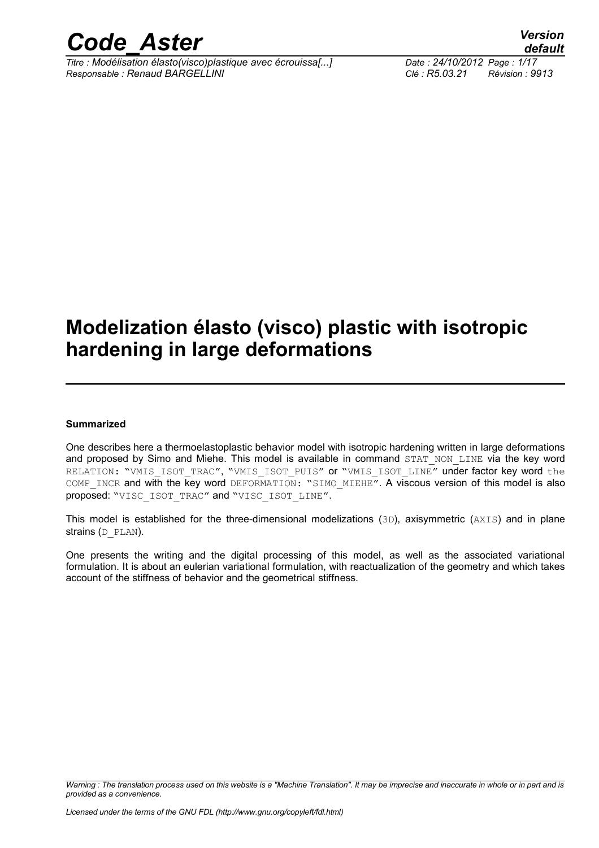

*Titre : Modélisation élasto(visco)plastique avec écrouissa[...] Date : 24/10/2012 Page : 1/17 Responsable : Renaud BARGELLINI Clé : R5.03.21 Révision : 9913*

### **Modelization élasto (visco) plastic with isotropic hardening in large deformations**

#### **Summarized**

One describes here a thermoelastoplastic behavior model with isotropic hardening written in large deformations and proposed by Simo and Miehe. This model is available in command STAT NON LINE via the key word RELATION: "VMIS ISOT TRAC", "VMIS ISOT PUIS" or "VMIS ISOT LINE" under factor key word the COMP\_INCR and with the key word DEFORMATION: "SIMO\_MIEHE". A viscous version of this model is also proposed: "VISC\_ISOT\_TRAC" and "VISC\_ISOT\_LINE".

This model is established for the three-dimensional modelizations (3D), axisymmetric (AXIS) and in plane strains (D\_PLAN).

One presents the writing and the digital processing of this model, as well as the associated variational formulation. It is about an eulerian variational formulation, with reactualization of the geometry and which takes account of the stiffness of behavior and the geometrical stiffness.

*Warning : The translation process used on this website is a "Machine Translation". It may be imprecise and inaccurate in whole or in part and is provided as a convenience.*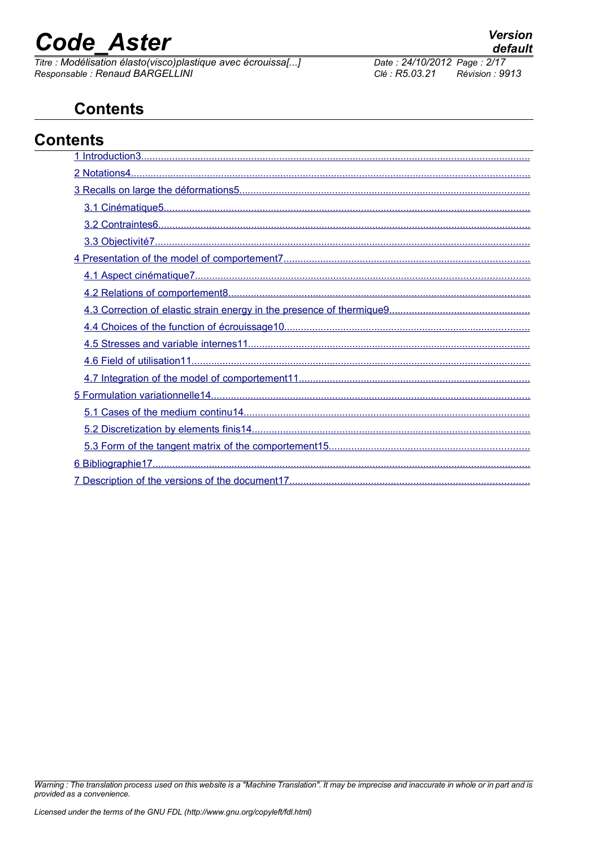# **Code Aster**

Titre : Modélisation élasto(visco)plastique avec écrouissa[...] Responsable : Renaud BARGELLINI

#### Date: 24/10/2012 Page: 2/17 Clé : R5.03.21 Révision : 9913

### **Contents**

| <b>Contents</b> |  |
|-----------------|--|
|                 |  |
|                 |  |
|                 |  |
|                 |  |
|                 |  |
|                 |  |
|                 |  |
|                 |  |
|                 |  |
|                 |  |
|                 |  |
|                 |  |
|                 |  |
|                 |  |
|                 |  |
|                 |  |
|                 |  |
|                 |  |
|                 |  |
|                 |  |
|                 |  |

Warning : The translation process used on this website is a "Machine Translation". It may be imprecise and inaccurate in whole or in part and is provided as a convenience.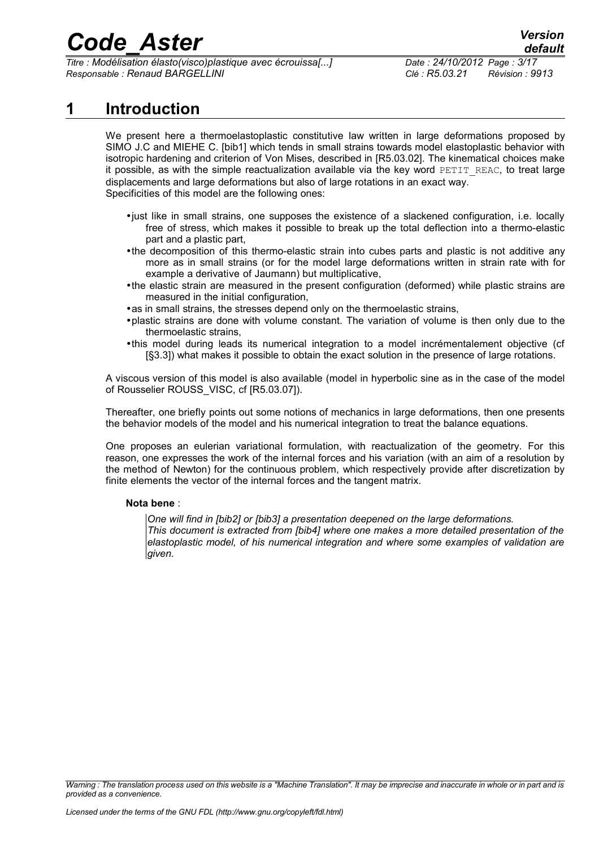*Titre : Modélisation élasto(visco)plastique avec écrouissa[...] Date : 24/10/2012 Page : 3/17 Responsable : Renaud BARGELLINI Clé : R5.03.21 Révision : 9913*

### **1 Introduction**

<span id="page-2-0"></span>We present here a thermoelastoplastic constitutive law written in large deformations proposed by SIMO J.C and MIEHE C. [bib1] which tends in small strains towards model elastoplastic behavior with isotropic hardening and criterion of Von Mises, described in [R5.03.02]. The kinematical choices make it possible, as with the simple reactualization available via the key word PETIT\_REAC, to treat large displacements and large deformations but also of large rotations in an exact way. Specificities of this model are the following ones:

- •just like in small strains, one supposes the existence of a slackened configuration, i.e. locally free of stress, which makes it possible to break up the total deflection into a thermo-elastic part and a plastic part,
- •the decomposition of this thermo-elastic strain into cubes parts and plastic is not additive any more as in small strains (or for the model large deformations written in strain rate with for example a derivative of Jaumann) but multiplicative,
- •the elastic strain are measured in the present configuration (deformed) while plastic strains are measured in the initial configuration,
- •as in small strains, the stresses depend only on the thermoelastic strains,
- •plastic strains are done with volume constant. The variation of volume is then only due to the thermoelastic strains,
- •this model during leads its numerical integration to a model incrémentalement objective (cf [§3.3]) what makes it possible to obtain the exact solution in the presence of large rotations.

A viscous version of this model is also available (model in hyperbolic sine as in the case of the model of Rousselier ROUSS\_VISC, cf [R5.03.07]).

Thereafter, one briefly points out some notions of mechanics in large deformations, then one presents the behavior models of the model and his numerical integration to treat the balance equations.

One proposes an eulerian variational formulation, with reactualization of the geometry. For this reason, one expresses the work of the internal forces and his variation (with an aim of a resolution by the method of Newton) for the continuous problem, which respectively provide after discretization by finite elements the vector of the internal forces and the tangent matrix.

#### **Nota bene** :

*One will find in [bib2] or [bib3] a presentation deepened on the large deformations. This document is extracted from [bib4] where one makes a more detailed presentation of the elastoplastic model, of his numerical integration and where some examples of validation are given.*

*Warning : The translation process used on this website is a "Machine Translation". It may be imprecise and inaccurate in whole or in part and is provided as a convenience.*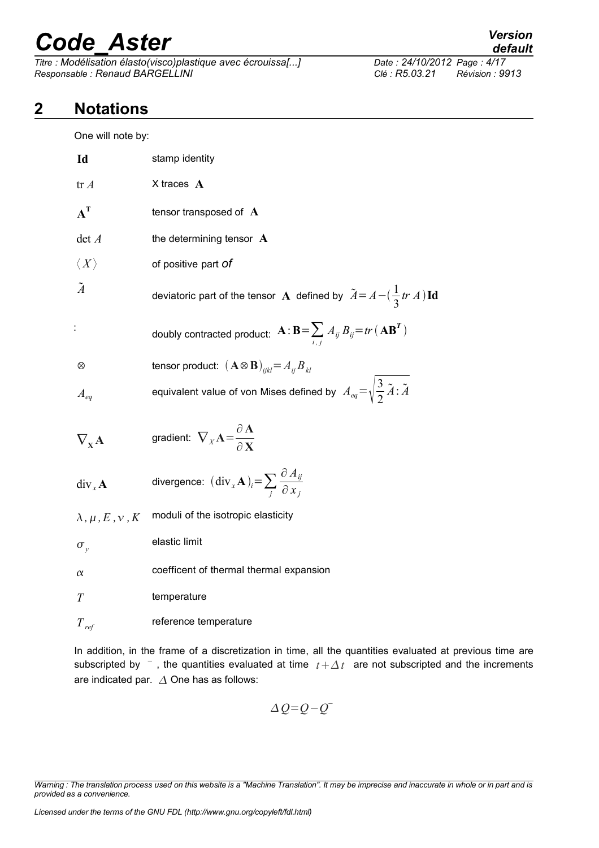*Titre : Modélisation élasto(visco)plastique avec écrouissa[...] Date : 24/10/2012 Page : 4/17 Responsable : Renaud BARGELLINI Clé : R5.03.21 Révision : 9913*

### **2 Notations**

<span id="page-3-0"></span>One will note by:

| Id                              | stamp identity                                                                                             |
|---------------------------------|------------------------------------------------------------------------------------------------------------|
| tr A                            | $X$ traces $A$                                                                                             |
| $A^T$                           | tensor transposed of A                                                                                     |
| det A                           | the determining tensor $\mathbf A$                                                                         |
| $\langle X\rangle$              | of positive part <i>of</i>                                                                                 |
| $\tilde{A}$                     | deviatoric part of the tensor A defined by $\tilde{A} = A - (\frac{1}{3}tr A) \mathbf{Id}$                 |
|                                 | doubly contracted product: $\mathbf{A} : \mathbf{B} = \sum_{i} A_{ij} B_{ij} = tr(\mathbf{A}\mathbf{B}^T)$ |
| ⊗                               | tensor product: $(\mathbf{A} \otimes \mathbf{B})_{ijkl} = A_{ij} B_{kl}$                                   |
| $A_{ea}$                        | equivalent value of von Mises defined by $A_{eq} = \sqrt{\frac{3}{2} \tilde{A}}$ : $\tilde{A}$             |
| $\nabla_{\mathbf{x}}\mathbf{A}$ | gradient: $\nabla_X \mathbf{A} = \frac{\partial \mathbf{A}}{\partial \mathbf{V}}$                          |
| div <sub>x</sub> A              | divergence: $(\text{div}_x \mathbf{A})_i = \sum_i \frac{\partial A_{ij}}{\partial x_i}$                    |
| $\lambda, \mu, E, \nu, K$       | moduli of the isotropic elasticity                                                                         |
| $\sigma_{v}$                    | elastic limit                                                                                              |
| $\alpha$                        | coefficent of thermal thermal expansion                                                                    |
| T                               | temperature                                                                                                |
| $T_{ref}$                       | reference temperature                                                                                      |

In addition, in the frame of a discretization in time, all the quantities evaluated at previous time are subscripted by  $\overline{\phantom{a}}$ , the quantities evaluated at time  $\overline{t} + \Delta t$  are not subscripted and the increments are indicated par.  $\Delta$  One has as follows:

$$
\Delta Q = Q - Q^{-}
$$

*Warning : The translation process used on this website is a "Machine Translation". It may be imprecise and inaccurate in whole or in part and is provided as a convenience.*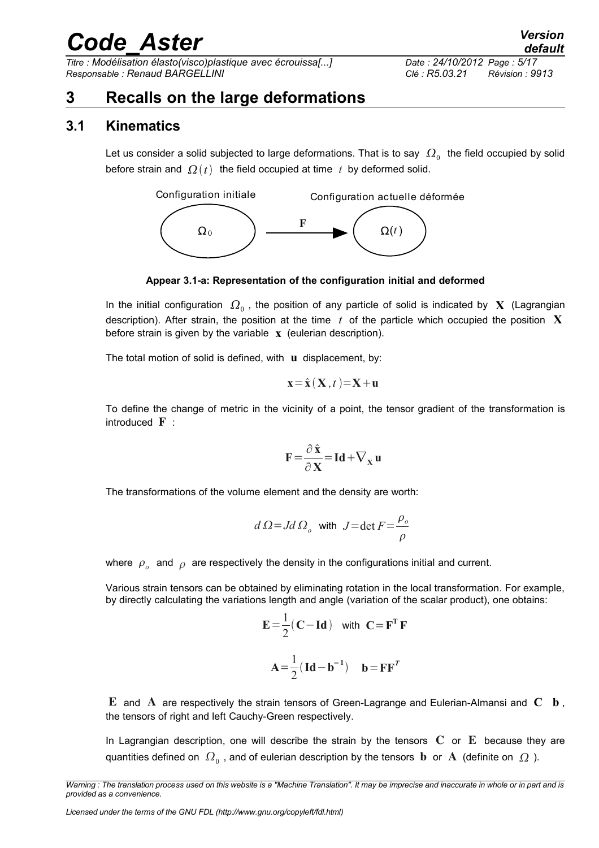*Titre : Modélisation élasto(visco)plastique avec écrouissa[...] Date : 24/10/2012 Page : 5/17 Responsable : Renaud BARGELLINI Clé : R5.03.21 Révision : 9913*

### <span id="page-4-1"></span>**3 Recalls on the large deformations**

#### **3.1 Kinematics**

<span id="page-4-0"></span>Let us consider a solid subjected to large deformations. That is to say  $\,\varOmega_{0}\,$  the field occupied by solid before strain and  $\Omega(t)$  the field occupied at time t by deformed solid.



**Appear 3.1-a: Representation of the configuration initial and deformed**

In the initial configuration  $\,\varOmega_{_0}$  , the position of any particle of solid is indicated by  $\,\mathbf{X}\,$  (Lagrangian description). After strain, the position at the time *t* of the particle which occupied the position **X** before strain is given by the variable **x** (eulerian description).

The total motion of solid is defined, with **u** displacement, by:

$$
\mathbf{x} = \hat{\mathbf{x}} \left( \mathbf{X}, t \right) = \mathbf{X} + \mathbf{u}
$$

To define the change of metric in the vicinity of a point, the tensor gradient of the transformation is introduced  $\mathbf{F}$  :

$$
\mathbf{F} = \frac{\partial \hat{\mathbf{x}}}{\partial \mathbf{X}} = \mathbf{Id} + \nabla_{\mathbf{x}} \mathbf{u}
$$

The transformations of the volume element and the density are worth:

$$
d\Omega = Jd\Omega_o \text{ with } J = \det F = \frac{\rho_o}{\rho}
$$

where  $\rho_{o}^{\parallel}$  and  $\rho^{\parallel}$  are respectively the density in the configurations initial and current.

Various strain tensors can be obtained by eliminating rotation in the local transformation. For example, by directly calculating the variations length and angle (variation of the scalar product), one obtains:

$$
E = \frac{1}{2} (C - Id) \text{ with } C = FT F
$$

$$
A = \frac{1}{2} (Id - b^{-1}) \text{ } b = F FT
$$

E and A are respectively the strain tensors of Green-Lagrange and Eulerian-Almansi and **C b** , the tensors of right and left Cauchy-Green respectively.

In Lagrangian description, one will describe the strain by the tensors  $C$  or  $E$  because they are quantities defined on  $\,\varOmega_{_0}$  , and of eulerian description by the tensors  $\,\mathbf b\,$  or  $\,\mathbf A\,$  (definite on  $\,\varOmega\,$  ).

*Warning : The translation process used on this website is a "Machine Translation". It may be imprecise and inaccurate in whole or in part and is provided as a convenience.*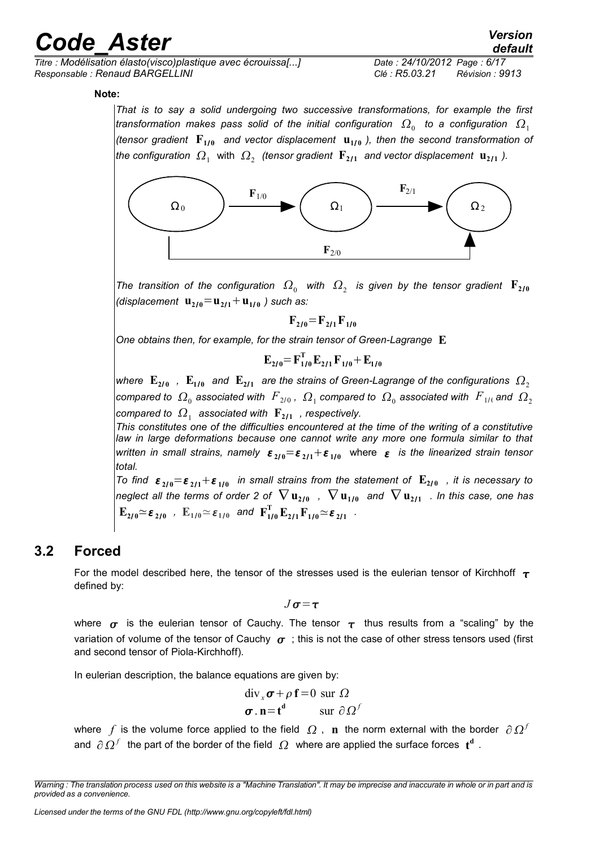*Titre : Modélisation élasto(visco)plastique avec écrouissa[...] Date : 24/10/2012 Page : 6/17 Responsable : Renaud BARGELLINI Clé : R5.03.21 Révision : 9913*

**Note:**

*That is to say a solid undergoing two successive transformations, for example the first* transformation makes pass solid of the initial configuration  $\,\Omega_{_0}\,$  to a configuration  $\,\Omega_{_1}$ *(tensor gradient*  $\mathbf{F}_{1/0}$  and vector displacement  $\mathbf{u}_{1/0}$  ), then the second transformation of *the configuration*  $\, \Omega_{_1} \,$  *with*  $\, \Omega_{_2} \,$  *(tensor gradient*  $\, {\bf F}_{2/1} \,$  *and vector displacement*  $\, {\bf u}_{2/1} \,$  *).* 



The transition of the configuration  $\,\Omega_{_0}\,$  with  $\,\Omega_{_2}\,$  is given by the tensor gradient  $\,\mathbf{F}_{\mathbf{2}1\mathbf{0}}\,$ *(displacement*  $\mathbf{u}_{2/0} = \mathbf{u}_{2/1} + \mathbf{u}_{1/0}$ ) such as:

 $\mathbf{F}_{2/0} = \mathbf{F}_{2/1} \mathbf{F}_{1/0}$ 

*One obtains then, for example, for the strain tensor of Green-Lagrange* **E**

$$
\mathbf{E}_{2/0} = \mathbf{F}_{1/0}^{\mathrm{T}} \, \mathbf{E}_{2/1} \, \mathbf{F}_{1/0} + \mathbf{E}_{1/0}
$$

where  $\mathbf{E}_{\mathbf{270}}$  ,  $\mathbf{E}_{\mathbf{170}}$  and  $\mathbf{E}_{\mathbf{271}}$  are the strains of Green-Lagrange of the configurations  $\mathbf{\Omega}_2$ compared to  $\,\Omega_{_0}$  associated with  $\,\,F_{2/0}$  ,  $\,\Omega_{_1}$  compared to  $\,\Omega_{_0}$  associated with  $\,\,F_{1/0}$  and  $\,\Omega_{_2}$ compared to  $\,\Omega_{\rm 1}\,$  associated with  $\,\mathbf{F}_{\mathbf{2} \mathbf{1} \mathbf{1}}\,$  , respectively.

*This constitutes one of the difficulties encountered at the time of the writing of a constitutive law in large deformations because one cannot write any more one formula similar to that*  $\alpha$  *written in small strains, namely*  $\varepsilon_{2/0}$  $=\varepsilon_{2/1}+\varepsilon_{1/0}$  *where*  $\varepsilon$  *is the linearized strain tensor total.*

*To find*  $\varepsilon_{2/0} = \varepsilon_{2/1} + \varepsilon_{1/0}$  in small strains from the statement of  $\mathbf{E}_{2/0}$  , it is necessary to  $n$ eglect all the terms of order 2 of  $\nabla\,\mathbf{u}_{2/0}$  ,  $\nabla\,\mathbf{u}_{1/0}$  and  $\nabla\,\mathbf{u}_{2/1}$  . In this case, one has  $\mathbf{E}_{2I0} \simeq \boldsymbol{\varepsilon}_{2I0}$  ,  $\mathbf{E}_{1I0} \simeq \boldsymbol{\varepsilon}_{1I0}$  and  $\mathbf{F}_{1I0}^{\mathrm{T}} \, \mathbf{E}_{2I1} \, \mathbf{F}_{1I0} \simeq \boldsymbol{\varepsilon}_{2I1}$  .

#### **3.2 Forced**

<span id="page-5-0"></span>For the model described here, the tensor of the stresses used is the eulerian tensor of Kirchhoff  $\tau$ defined by:

$$
J\sigma\!=\!\tau
$$

where  $\sigma$  is the eulerian tensor of Cauchy. The tensor  $\tau$  thus results from a "scaling" by the variation of volume of the tensor of Cauchy  $\sigma$ ; this is not the case of other stress tensors used (first and second tensor of Piola-Kirchhoff).

In eulerian description, the balance equations are given by:

$$
\begin{aligned}\n\text{div}_{x} \sigma + \rho \mathbf{f} &= 0 \text{ sur } \Omega \\
\sigma \cdot \mathbf{n} &= \mathbf{t}^{\mathbf{d}} \qquad \text{ sur } \partial \Omega^{f}\n\end{aligned}
$$

where  $f$  is the volume force applied to the field  $\Omega$  ,  $\bf{n}$  the norm external with the border  $\partial \Omega^f$ and  $\partial \Omega^f$  the part of the border of the field  $\Omega$  where are applied the surface forces  $\mathbf{t}^{\mathbf{d}}$  .

*Warning : The translation process used on this website is a "Machine Translation". It may be imprecise and inaccurate in whole or in part and is provided as a convenience.*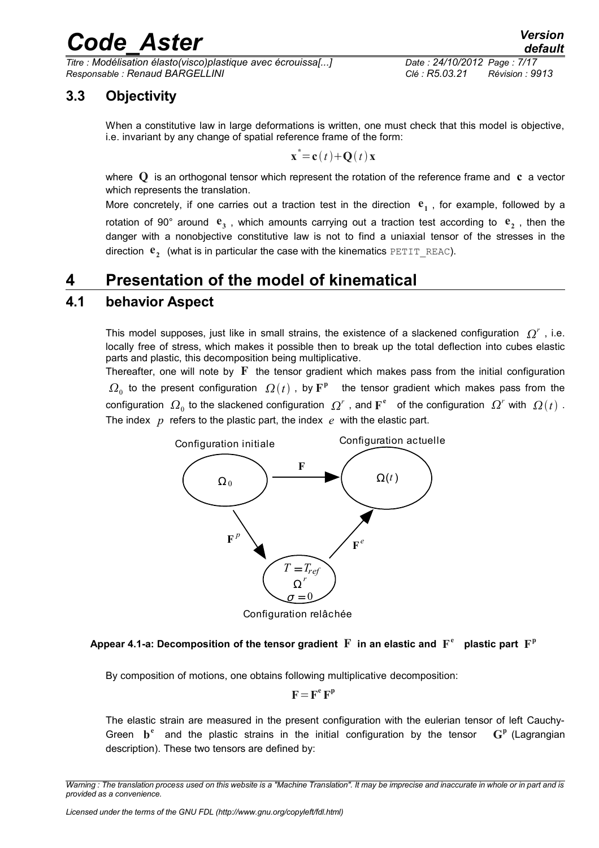*Titre : Modélisation élasto(visco)plastique avec écrouissa[...] Date : 24/10/2012 Page : 7/17 Responsable : Renaud BARGELLINI Clé : R5.03.21 Révision : 9913*

### **3.3 Objectivity**

<span id="page-6-2"></span>When a constitutive law in large deformations is written, one must check that this model is objective, i.e. invariant by any change of spatial reference frame of the form:

$$
\mathbf{x}^* = \mathbf{c}(t) + \mathbf{Q}(t)\mathbf{x}
$$

where Q is an orthogonal tensor which represent the rotation of the reference frame and **c** a vector which represents the translation.

More concretely, if one carries out a traction test in the direction  $e_1$ , for example, followed by a rotation of 90° around  $e_3$ , which amounts carrying out a traction test according to  $e_2$ , then the danger with a nonobjective constitutive law is not to find a uniaxial tensor of the stresses in the direction  $\mathbf{e}_2^{\top}$  (what is in particular the case with the kinematics  $\texttt{PETIT\_REAC}$ ).

### <span id="page-6-1"></span>**4 Presentation of the model of kinematical**

#### **4.1 behavior Aspect**

<span id="page-6-0"></span>This model supposes, just like in small strains, the existence of a slackened configuration  $Q^r$  , i.e. locally free of stress, which makes it possible then to break up the total deflection into cubes elastic parts and plastic, this decomposition being multiplicative.

Thereafter, one will note by  $\mathbf F$  the tensor gradient which makes pass from the initial configuration  $\Omega_0$  to the present configuration  $\Omega(t)$  , by  $\mathbb{F}^{\text{p}}$  the tensor gradient which makes pass from the configuration  $\Omega_0$  to the slackened configuration  $\Omega^r$  , and  $\mathbf{F}^\mathbf{e}$  of the configuration  $\Omega^r$  with  $\Omega(t)$  . The index *p* refers to the plastic part, the index *e* with the elastic part.



Configuration relâchée

#### Appear 4.1-a: Decomposition of the tensor gradient  $\mathbf F$  in an elastic and  $\mathbf F^\mathfrak{e}$  plastic part  $\mathbf F^\mathfrak{p}$

By composition of motions, one obtains following multiplicative decomposition:

$$
F = F^e F^p
$$

The elastic strain are measured in the present configuration with the eulerian tensor of left Cauchy-Green  $\mathbf{b}^e$  and the plastic strains in the initial configuration by the tensor **G p** (Lagrangian description). These two tensors are defined by:

*Warning : The translation process used on this website is a "Machine Translation". It may be imprecise and inaccurate in whole or in part and is provided as a convenience.*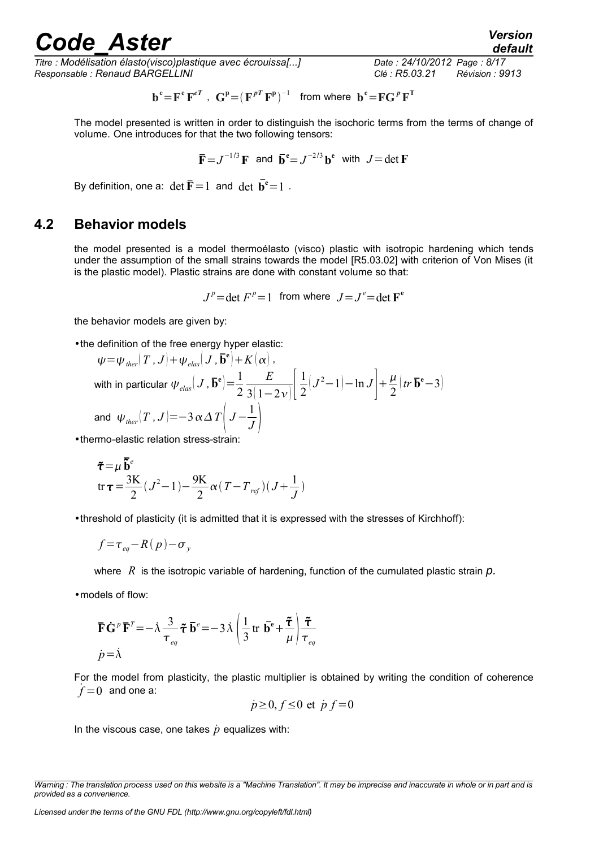*Titre : Modélisation élasto(visco)plastique avec écrouissa[...] Date : 24/10/2012 Page : 8/17 Responsable : Renaud BARGELLINI Clé : R5.03.21 Révision : 9913*

$$
\mathbf{b}^{\mathbf{e}} = \mathbf{F}^{\mathbf{e}} \mathbf{F}^{eT} \ , \ \mathbf{G}^{\mathbf{p}} = (\mathbf{F}^{pT} \mathbf{F}^{\mathbf{p}})^{-1} \ \text{ from where } \mathbf{b}^{\mathbf{e}} = \mathbf{F} \mathbf{G}^{p} \mathbf{F}^{T}
$$

The model presented is written in order to distinguish the isochoric terms from the terms of change of volume. One introduces for that the two following tensors:

$$
\overline{\mathbf{F}} = J^{-1/3} \mathbf{F}
$$
 and  $\overline{\mathbf{b}}^{\mathbf{e}} = J^{-2/3} \mathbf{b}^{\mathbf{e}}$  with  $J = \det \mathbf{F}$ 

By definition, one a:  $\det \overline{\mathbf{F}} = 1$  and  $\det \overline{\mathbf{b}}^e = 1$ .

#### **4.2 Behavior models**

<span id="page-7-0"></span>the model presented is a model thermoélasto (visco) plastic with isotropic hardening which tends under the assumption of the small strains towards the model [R5.03.02] with criterion of Von Mises (it is the plastic model). Plastic strains are done with constant volume so that:

 $J^p$ =det  $F^p$ =1 from where  $J = J^e$ =det  $\mathbf{F}^e$ 

the behavior models are given by:

•the definition of the free energy hyper elastic:

$$
\psi = \psi_{ther} (T, J) + \psi_{elas} (J, \mathbf{\bar{b}}^{\mathbf{e}}) + K(\alpha),
$$
  
with in particular  $\psi_{elas} (J, \mathbf{\bar{b}}^{\mathbf{e}}) = \frac{1}{2} \frac{E}{3(1 - 2\nu)} \left[ \frac{1}{2} (J^2 - 1) - \ln J \right] + \frac{\mu}{2} (tr \mathbf{\bar{b}}^{\mathbf{e}} - 3)$   
and  $\psi_{ther} (T, J) = -3 \alpha \Delta T \left( J - \frac{1}{J} \right)$ 

•thermo-elastic relation stress-strain:

$$
\tilde{\tau} = \mu \frac{\tilde{\mathbf{b}}^e}{2} (\mathbf{J}^2 - 1) - \frac{9\mathbf{K}}{2} \alpha (\mathbf{T} - \mathbf{T}_{ref})(\mathbf{J} + \frac{1}{\mathbf{J}})
$$

•threshold of plasticity (it is admitted that it is expressed with the stresses of Kirchhoff):

$$
f = \tau_{eq} - R(p) - \sigma_{y}
$$

where *R* is the isotropic variable of hardening, function of the cumulated plastic strain *p.*

•models of flow:

$$
\overline{\mathbf{F}}\dot{\mathbf{G}}^p \overline{\mathbf{F}}^T = -\dot{\lambda} \frac{3}{\tau_{eq}} \tilde{\boldsymbol{\tau}} \overline{\mathbf{b}}^e = -3\dot{\lambda} \left(\frac{1}{3} \operatorname{tr} \overline{\mathbf{b}}^e + \frac{\tilde{\boldsymbol{\tau}}}{\mu}\right) \frac{\tilde{\boldsymbol{\tau}}}{\tau_{eq}}
$$
  

$$
\dot{p} = \dot{\lambda}
$$

For the model from plasticity, the plastic multiplier is obtained by writing the condition of coherence  $\dot{f} = 0$  and one a:

$$
\dot{p} \ge 0, f \le 0 \text{ et } \dot{p} f = 0
$$

In the viscous case, one takes  $\dot{p}$  equalizes with:

*Warning : The translation process used on this website is a "Machine Translation". It may be imprecise and inaccurate in whole or in part and is provided as a convenience.*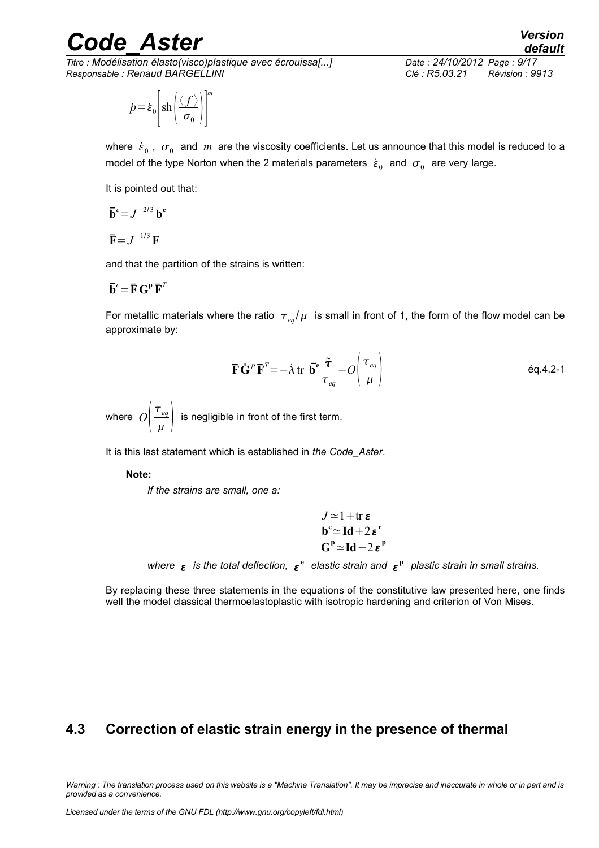*Titre : Modélisation élasto(visco)plastique avec écrouissa[...] Date : 24/10/2012 Page : 9/17 Responsable : Renaud BARGELLINI Clé : R5.03.21 Révision : 9913*

$$
\dot{p} = \dot{\varepsilon}_0 \left[ \text{sh} \left( \frac{\langle f \rangle}{\sigma_0} \right) \right]^m
$$

*default*

where  $\{\varepsilon}_0$  ,  $\sigma_0^+$  and  $\,m\,$  are the viscosity coefficients. Let us announce that this model is reduced to a model of the type Norton when the 2 materials parameters  $\dot{\varepsilon}_0^{\text{}}$  and  $\sigma_0^{\text{}}$  are very large.

It is pointed out that:

$$
\overline{\mathbf{b}}^e = J^{-2/3} \mathbf{b}^e
$$

$$
\overline{\mathbf{F}} = J^{-1/3} \mathbf{F}
$$

and that the partition of the strains is written:

$$
\mathbf{\bar{b}}^e = \mathbf{\bar{F}} \mathbf{G}^{\mathbf{p}} \mathbf{\bar{F}}^T
$$

For metallic materials where the ratio  $\tau_{eq}/\mu$  is small in front of 1, the form of the flow model can be approximate by:

$$
\overline{\mathbf{F}}\dot{\mathbf{G}}^p\overline{\mathbf{F}}^T = -\dot{\lambda} \operatorname{tr} \overline{\mathbf{b}}^e \frac{\tilde{\boldsymbol{\tau}}}{\tau_{eq}} + O\left(\frac{\tau_{eq}}{\mu}\right)
$$

where  $O\left(-\frac{1}{2}\right)$ *eq*  $\left\{\frac{eq}{\mu}\right\}$  is negligible in front of the first term.

It is this last statement which is established in *the Code\_Aster*.

**Note:**

*If the strains are small, one a:*  $J \approx 1 + \text{tr } \varepsilon$ **b**<sup>e</sup>  $\simeq$ **Id** + 2 $\varepsilon$ <sup>e</sup>

where  $\epsilon$  is the total deflection,  $\epsilon^{\text{e}}$  elastic strain and  $\epsilon^{\text{p}}$  plastic strain in small strains.

 $G^P \simeq Id - 2 \varepsilon^P$ 

By replacing these three statements in the equations of the constitutive law presented here, one finds well the model classical thermoelastoplastic with isotropic hardening and criterion of Von Mises.

#### <span id="page-8-0"></span>**4.3 Correction of elastic strain energy in the presence of thermal**

*Warning : The translation process used on this website is a "Machine Translation". It may be imprecise and inaccurate in whole or in part and is provided as a convenience.*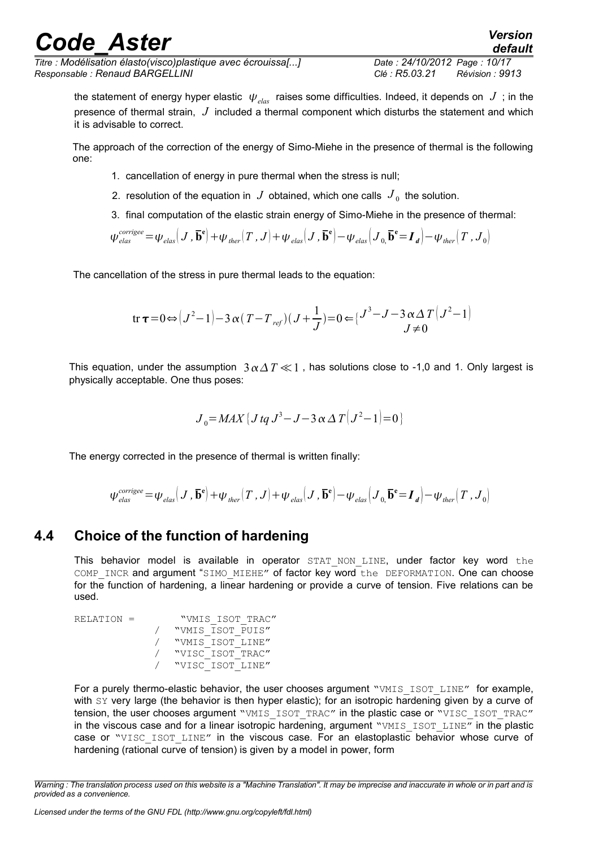*Titre : Modélisation élasto(visco)plastique avec écrouissa[...] Date : 24/10/2012 Page : 10/17 Responsable : Renaud BARGELLINI Clé : R5.03.21 Révision : 9913*

the statement of energy hyper elastic  $\psi_{elas}$  raises some difficulties. Indeed, it depends on  $J$ ; in the presence of thermal strain, *J* included a thermal component which disturbs the statement and which it is advisable to correct.

The approach of the correction of the energy of Simo-Miehe in the presence of thermal is the following one:

- 1. cancellation of energy in pure thermal when the stress is null;
- 2. resolution of the equation in  $J$  obtained, which one calls  $J_0$  the solution.
- 3. final computation of the elastic strain energy of Simo-Miehe in the presence of thermal:

$$
\psi_{elas}^{corrige} = \psi_{elas} (J, \mathbf{\bar{b}}^{\mathbf{e}}) + \psi_{ther} (T, J) + \psi_{elas} (J, \mathbf{\bar{b}}^{\mathbf{e}}) - \psi_{elas} (J_0, \mathbf{\bar{b}}^{\mathbf{e}} = \mathbf{I}_d) - \psi_{ther} (T, J_0)
$$

The cancellation of the stress in pure thermal leads to the equation:

tr 
$$
\tau = 0 \Leftrightarrow (J^2 - 1) - 3 \alpha (T - T_{ref})(J + \frac{1}{J}) = 0 \Leftrightarrow (J^3 - J - 3 \alpha \Delta T (J^2 - 1))
$$
  
 $J \neq 0$ 

This equation, under the assumption  $3 \alpha \Delta T \ll 1$ , has solutions close to -1,0 and 1. Only largest is physically acceptable. One thus poses:

$$
J_0 = MAX \{ J \, tq \, J^3 - J - 3 \alpha \, \Delta T \big( J^2 - 1 \big) = 0 \}
$$

The energy corrected in the presence of thermal is written finally:

$$
\psi_{\textit{elas}}^{\textit{corrigee}}\!=\!\psi_{\textit{elas}}\!\left(J\,,\,\overline{\mathbf{b}}^{\mathbf{e}}\right)\!+\!\psi_{\textit{ther}}\!\left(T\,,J\right)\!+\!\psi_{\textit{elas}}\!\left(J\,,\,\overline{\mathbf{b}}^{\mathbf{e}}\right)\!-\!\psi_{\textit{elas}}\!\left(J\,,\,\overline{\mathbf{b}}^{\mathbf{e}}\!=\!\mathbf{I}_{\textit{d}}\right)\!-\!\psi_{\textit{ther}}\!\left(T\,,J_{0}\right)
$$

#### **4.4 Choice of the function of hardening**

<span id="page-9-0"></span>This behavior model is available in operator STAT NON LINE, under factor key word the COMP INCR and argument "SIMO MIEHE" of factor key word the DEFORMATION. One can choose for the function of hardening, a linear hardening or provide a curve of tension. Five relations can be used.

RELATION = "VMIS ISOT TRAC" / "VMIS\_ISOT\_PUIS" / "VMIS\_ISOT\_LINE" / "VISC\_ISOT\_TRAC" / "VISC\_ISOT\_LINE"

For a purely thermo-elastic behavior, the user chooses argument "VMIS ISOT LINE" for example, with SY very large (the behavior is then hyper elastic); for an isotropic hardening given by a curve of tension, the user chooses argument "VMIS\_ISOT\_TRAC" in the plastic case or "VISC\_ISOT\_TRAC" in the viscous case and for a linear isotropic hardening, argument "VMIS\_ISOT\_LINE" in the plastic case or "VISC\_ISOT\_LINE" in the viscous case. For an elastoplastic behavior whose curve of hardening (rational curve of tension) is given by a model in power, form

*Warning : The translation process used on this website is a "Machine Translation". It may be imprecise and inaccurate in whole or in part and is provided as a convenience.*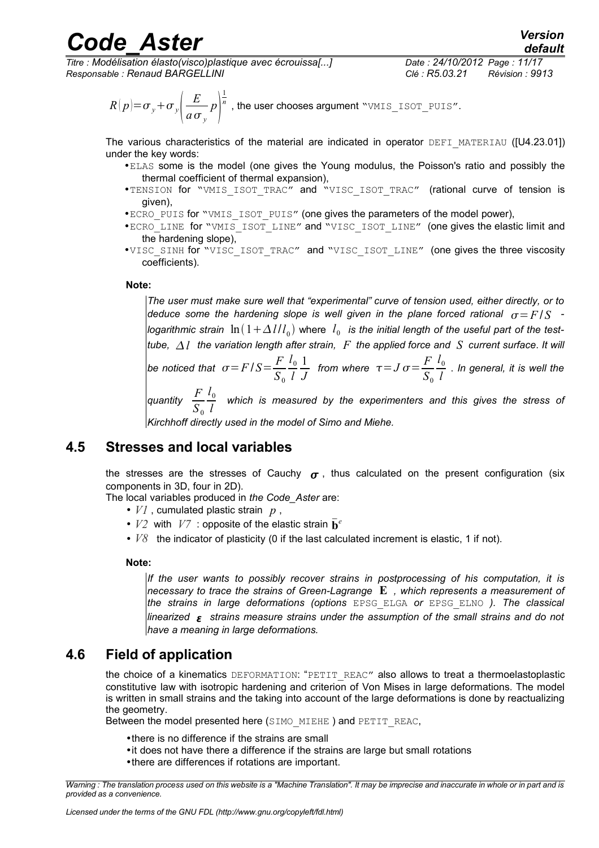*Titre : Modélisation élasto(visco)plastique avec écrouissa[...] Date : 24/10/2012 Page : 11/17 Responsable : Renaud BARGELLINI Clé : R5.03.21 Révision : 9913*

$$
R(p) = \sigma_y + \sigma_y \left(\frac{E}{a \sigma_y} p\right)^{\frac{1}{n}}
$$
, the user chooses argument "VMIS\_ISOT\_PUIS".

The various characteristics of the material are indicated in operator DEFI\_MATERIAU ([U4.23.01]) under the key words:

- •ELAS some is the model (one gives the Young modulus, the Poisson's ratio and possibly the thermal coefficient of thermal expansion),
- •TENSION for "VMIS\_ISOT\_TRAC" and "VISC\_ISOT\_TRAC" (rational curve of tension is given),
- •ECRO\_PUIS for "VMIS\_ISOT\_PUIS" (one gives the parameters of the model power),
- •ECRO\_LINE for "VMIS\_ISOT\_LINE" and "VISC\_ISOT\_LINE" (one gives the elastic limit and the hardening slope),
- •VISC\_SINH for "VISC\_ISOT\_TRAC" and "VISC\_ISOT\_LINE" (one gives the three viscosity coefficients).

#### **Note:**

*The user must make sure well that "experimental" curve of tension used, either directly, or to deduce some the hardening slope is well given in the plane forced rational*  $\sigma = F/S$  *logarithmic strain*  $\,\ln\left( \,1\!+\! \Delta\, l/l_{_0} \right)$  where  $\,l_{_0}\,$  is the initial length of the useful part of the test*tube, l the variation length after strain, F the applied force and S current surface*. *It will*

*be noticed that*  $\sigma$  = *F* / *S* =  $\frac{F}{G}$  $S_0$  $l<sub>0</sub>$ *l* 1 *J from where*  $\tau = J \sigma = \frac{F}{g}$  $S_0$  $l<sub>0</sub>$  $\frac{0}{l}$  . In general, it is well the

*quantity*  $\frac{F}{\sigma}$  $S_0$  $l<sub>0</sub>$  $\frac{0}{l}$  which is measured by the experimenters and this gives the stress of<br> $l$ 

*Kirchhoff directly used in the model of Simo and Miehe.*

#### **4.5 Stresses and local variables**

<span id="page-10-1"></span>the stresses are the stresses of Cauchy  $\sigma$ , thus calculated on the present configuration (six components in 3D, four in 2D).

The local variables produced in *the Code\_Aster* are:

- *V1* , cumulated plastic strain *p* ,
- $V2$  with  $V7$  : opposite of the elastic strain  $\overline{\mathbf{b}}^e$
- *V8* the indicator of plasticity (0 if the last calculated increment is elastic, 1 if not).

#### **Note:**

*If the user wants to possibly recover strains in postprocessing of his computation, it is necessary to trace the strains of Green-Lagrange* **E** *, which represents a measurement of the strains in large deformations (options* EPSG\_ELGA *or* EPSG\_ELNO *). The classical linearized strains measure strains under the assumption of the small strains and do not have a meaning in large deformations.*

#### **4.6 Field of application**

<span id="page-10-0"></span>the choice of a kinematics DEFORMATION: "PETIT\_REAC" also allows to treat a thermoelastoplastic constitutive law with isotropic hardening and criterion of Von Mises in large deformations. The model is written in small strains and the taking into account of the large deformations is done by reactualizing the geometry.

Between the model presented here (SIMO\_MIEHE) and PETIT\_REAC,

- •there is no difference if the strains are small
- •it does not have there a difference if the strains are large but small rotations
- •there are differences if rotations are important.

*Warning : The translation process used on this website is a "Machine Translation". It may be imprecise and inaccurate in whole or in part and is provided as a convenience.*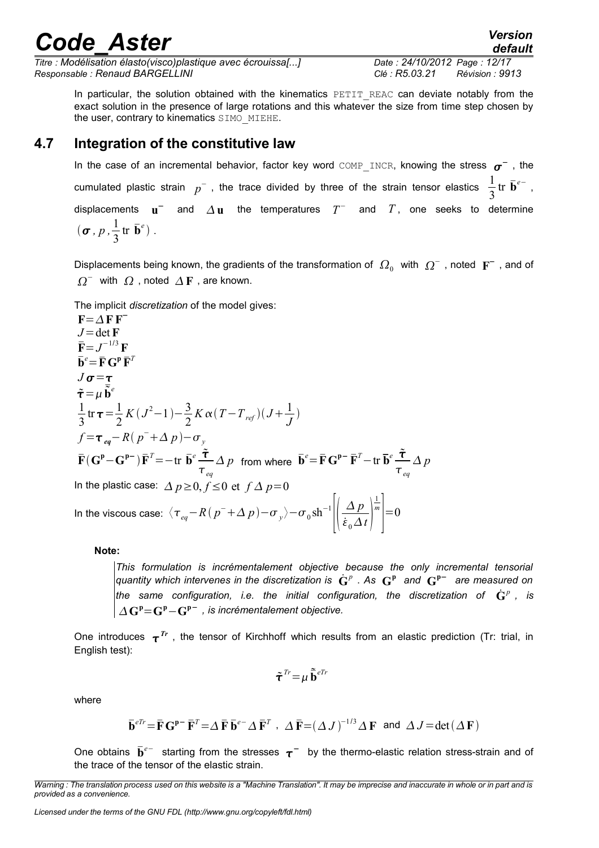*Titre : Modélisation élasto(visco)plastique avec écrouissa[...] Date : 24/10/2012 Page : 12/17 Responsable : Renaud BARGELLINI Clé : R5.03.21 Révision : 9913*

*default*

In particular, the solution obtained with the kinematics PETIT REAC can deviate notably from the exact solution in the presence of large rotations and this whatever the size from time step chosen by the user, contrary to kinematics SIMO\_MIEHE.

#### **4.7 Integration of the constitutive law**

<span id="page-11-0"></span>In the case of an incremental behavior, factor key word  $\texttt{COMP\_INCR}$ , knowing the stress  $\sigma^-$  , the cumulated plastic strain  $p^-$  , the trace divided by three of the strain tensor elastics  $\frac{1}{2}$ 3 tr  $\bar{\mathbf{b}}^{e-}$ , displacements  $\mathbf{u}^-$  and  $\Delta \mathbf{u}$  the temperatures  $T^-$  and  $T$ , one seeks to determine  $(\boldsymbol{\sigma}, p, \frac{1}{2})$ 3  $tr\ \overline{\mathbf{b}}^e$ ).

Displacements being known, the gradients of the transformation of  $\,\varOmega_0^-\,$  with  $\,\varOmega^-$  , noted  $\,\mathbf{F}^-\,$  , and of  $\Omega^-$  with  $\Omega$  , noted  $\Delta F$  , are known.

The implicit *discretization* of the model gives:

$$
\mathbf{F} = \Delta \mathbf{F} \mathbf{F}^{-}
$$
\n
$$
J = \det \mathbf{F}
$$
\n
$$
\mathbf{F} = J^{-1/3} \mathbf{F}
$$
\n
$$
\mathbf{b}^{e} = \mathbf{F} \mathbf{G}^{p} \mathbf{F}^{T}
$$
\n
$$
J \sigma = \tau
$$
\n
$$
\tau = \mu \mathbf{b}^{e}
$$
\n
$$
\frac{1}{3} \text{tr} \tau = \frac{1}{2} K (J^{2} - 1) - \frac{3}{2} K \alpha (T - T_{ref})(J + \frac{1}{J})
$$
\n
$$
f = \tau_{eq} - R (p^{-} + \Delta p) - \sigma_{y}
$$
\n
$$
\mathbf{F} (\mathbf{G}^{p} - \mathbf{G}^{p}) \mathbf{F}^{T} = -\text{tr } \mathbf{b}^{e} \frac{\tau}{\tau_{eq}} \Delta p \text{ from where } \mathbf{b}^{e} = \mathbf{F} \mathbf{G}^{p-} \mathbf{F}^{T} - \text{tr } \mathbf{b}^{e} \frac{\tau}{\tau_{eq}} \Delta p
$$
\nIn the plastic case:  $\Delta p \ge 0, f \le 0$  et  $f \Delta p = 0$ \nIn the viscous case:  $\langle \tau_{eq} - R (p^{-} + \Delta p) - \sigma_{y} \rangle - \sigma_{0} \sin^{-1} \left| \left( \frac{\Delta p}{\dot{\epsilon}_{0} \Delta t} \right)^{\frac{1}{m}} \right| = 0$ 

**Note:**

*This formulation is incrémentalement objective because the only incremental tensorial*  $q$ uantity which intervenes in the discretization is  $\dot{\mathbf{G}}^p$  . As  $\mathbf{G}^{\mathbf{p}}$  and  $\mathbf{G}^{\mathbf{p}-}$  are measured on the same configuration, i.e. the initial configuration, the discretization of  $\dot{\mathbf{G}}^p$  , is  $\Delta$ **G**<sup>p</sup>=**G**<sup>p</sup>-**G**<sup>p-</sup>, is incrémentalement objective.

One introduces  $\tau^{Tr}$  , the tensor of Kirchhoff which results from an elastic prediction (Tr: trial, in English test):

$$
\tilde{\boldsymbol{\tau}}^{\text{Tr}} \!=\! \mu \, \tilde{\bar{\mathbf{b}}}^{\text{eTr}}
$$

where

$$
\overline{\mathbf{b}}^{eTr} = \overline{\mathbf{F}} \mathbf{G}^{\mathbf{p} -} \overline{\mathbf{F}}^T = \Delta \overline{\mathbf{F}} \overline{\mathbf{b}}^{e-} \Delta \overline{\mathbf{F}}^T \ , \ \Delta \overline{\mathbf{F}} = (\Delta J)^{-1/3} \Delta \mathbf{F} \text{ and } \Delta J = \det(\Delta \mathbf{F})
$$

One obtains  $\bar{b}^{e-}$  starting from the stresses  $\tau^-$  by the thermo-elastic relation stress-strain and of the trace of the tensor of the elastic strain.

*Warning : The translation process used on this website is a "Machine Translation". It may be imprecise and inaccurate in whole or in part and is provided as a convenience.*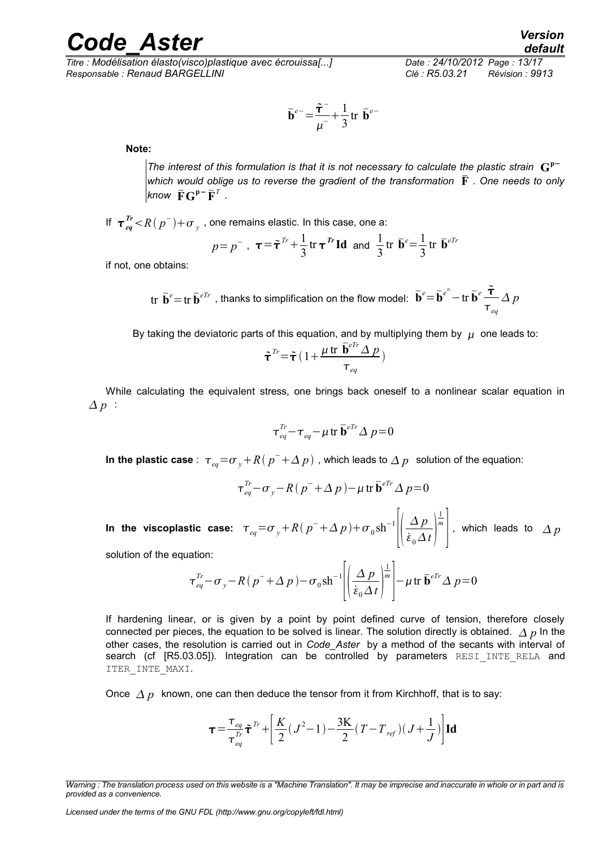*Titre : Modélisation élasto(visco)plastique avec écrouissa[...] Date : 24/10/2012 Page : 13/17 Responsable : Renaud BARGELLINI Clé : R5.03.21 Révision : 9913*

$$
\overline{\mathbf{b}}^{e-} = \frac{\overline{\mathbf{r}}^{-}}{\mu^{-}} + \frac{1}{3} \operatorname{tr} \overline{\mathbf{b}}^{e-}
$$

**Note:**

*The interest of this formulation is that it is not necessary to calculate the plastic strain*  $G^{p-}$ *which would oblige us to reverse the gradient of the transformation* **F** *. One needs to only know*  $\bar{\mathbf{F}}\mathbf{G}^{\mathbf{p}-} \bar{\mathbf{F}}^T$  .

If  $\tau \frac{r}{eq}$  <  $R$  (  $p^-$  )+  $\sigma$   $_{y}$  , one remains elastic. In this case, one a:

$$
p=p^-
$$
,  $\tau = \tilde{\tau}^{Tr} + \frac{1}{3} \text{tr} \tau^{Tr} \text{Id}$  and  $\frac{1}{3} \text{tr} \bar{\mathbf{b}}^e = \frac{1}{3} \text{tr} \bar{\mathbf{b}}^{eTr}$ 

if not, one obtains:

$$
\text{tr }\bar{\mathbf{b}}^e = \text{tr }\bar{\mathbf{b}}^{eTr} \text{ , thanks to simplification on the flow model: } \bar{\mathbf{b}}^e = \bar{\mathbf{b}}^{e^h} - \text{tr }\bar{\mathbf{b}}^e \frac{\tilde{\tau}}{\tau_{eq}} \Delta p
$$

By taking the deviatoric parts of this equation, and by multiplying them by  $\mu$  one leads to:

$$
\tilde{\boldsymbol{\tau}}^{Tr} \!=\! \tilde{\boldsymbol{\tau}} \, (1 \!+\! \frac{\mu \, \text{tr } \, \bar{\mathbf{b}}^{eTr} \, \Delta \, p}{\tau_{eq}})
$$

While calculating the equivalent stress, one brings back oneself to a nonlinear scalar equation in  $\Delta p$  :

$$
\tau_{eq}^{Tr} - \tau_{eq} - \mu \operatorname{tr} \bar{\mathbf{b}}^{iTr} \Delta p = 0
$$

**In the plastic case** :  $\tau_{eq} = \sigma_y + R(p^- + \Delta p)$  , which leads to  $\Delta p$  solution of the equation:

$$
\tau_{eq}^{Tr} - \sigma_y - R(p^- + \Delta p) - \mu \operatorname{tr} \bar{\mathbf{b}}^{eTr} \Delta p = 0
$$

In the viscoplastic case:  $\tau_{_{eq}}{=}\sigma_{_{\textit{y}}}{+}\textit{R}\left(\textit{p}^{-}{+}\Delta \textit{p}\right){+}\sigma_{_{0}}\textit{sh}^{-1}$  $||\,\dot{\varepsilon}$ *Δ p*  $\dot{\varepsilon}_0 \Delta t$ 1 *m*  $\vert$ , which leads to  $\varDelta p$ 

solution of the equation:

$$
\tau_{eq}^{Tr} - \sigma_y - R (p^- + \Delta p) - \sigma_0 \, \text{sh}^{-1} \left[ \left( \frac{\Delta p}{\dot{\varepsilon}_0 \, \Delta t} \right)^{\frac{1}{m}} \right] - \mu \, \text{tr } \, \bar{\mathbf{b}}^{eTr} \, \Delta p = 0
$$

If hardening linear, or is given by a point by point defined curve of tension, therefore closely connected per pieces, the equation to be solved is linear. The solution directly is obtained.  $\Delta p$  In the other cases, the resolution is carried out in *Code\_Aster* by a method of the secants with interval of search (cf [R5.03.05]). Integration can be controlled by parameters RESI INTE RELA and ITER\_INTE\_MAXI.

Once  $\Delta p$  known, one can then deduce the tensor from it from Kirchhoff, that is to say:

$$
\tau = \frac{\tau_{eq}}{\tau_{eq}^{Tr}} \tilde{\tau}^{Tr} + \left[ \frac{K}{2} (J^2 - 1) - \frac{3K}{2} (T - T_{ref})(J + \frac{1}{J}) \right] \mathbf{Id}
$$

*Warning : The translation process used on this website is a "Machine Translation". It may be imprecise and inaccurate in whole or in part and is provided as a convenience.*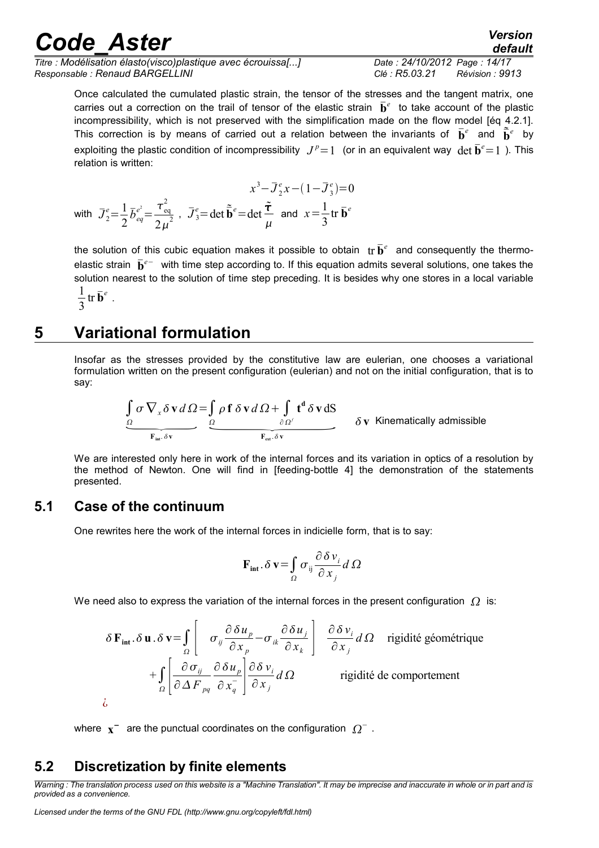| <b>Code Aster</b>                                                                              |                                                | <b>Version</b><br>default |
|------------------------------------------------------------------------------------------------|------------------------------------------------|---------------------------|
| Titre : Modélisation élasto(visco)plastique avec écrouissa[]<br>Responsable: Renaud BARGELLINI | Date: 24/10/2012 Page: 14/17<br>Clé : R5.03.21 | Révision : 9913           |

Once calculated the cumulated plastic strain, the tensor of the stresses and the tangent matrix, one carries out a correction on the trail of tensor of the elastic strain  $\bar{\mathbf{b}}^e$  to take account of the plastic incompressibility, which is not preserved with the simplification made on the flow model [éq 4.2.1]. This correction is by means of carried out a relation between the invariants of  $\bar{\mathbf{b}}^e$  and  $\tilde{\bar{\mathbf{b}}}^e$  by exploiting the plastic condition of incompressibility  $J^p=1$  (or in an equivalent way  $\det \bar{\mathbf{b}}^e=1$  ). This relation is written:

$$
x^3 - \overline{J}_2^e x - (1 - \overline{J}_3^e) = 0
$$
  
with  $\overline{J}_2^e = \frac{1}{2} \overline{b}_{eq}^{e^2} = \frac{\tau_{eq}^2}{2\mu^2}$ ,  $\overline{J}_3^e = \det \overline{\mathbf{b}}^e = \det \frac{\tilde{\tau}}{\mu}$  and  $x = \frac{1}{3} \text{tr } \overline{\mathbf{b}}^e$ 

the solution of this cubic equation makes it possible to obtain  $\{tr\} \bar{\mathbf{b}}^e$  and consequently the thermoelastic strain  $\bar{b}^{e-}$  with time step according to. If this equation admits several solutions, one takes the solution nearest to the solution of time step preceding. It is besides why one stores in a local variable 1 3  $tr\,\bar{\mathbf{b}}^e$  .

### **5 Variational formulation**

<span id="page-13-2"></span>Insofar as the stresses provided by the constitutive law are eulerian, one chooses a variational formulation written on the present configuration (eulerian) and not on the initial configuration, that is to say:

**onal formulation**  
the stresses provided by the constitutive law are eulerian, one chooses a v  
written on the present configuration (eulerian) and not on the initial configuration  

$$
\underbrace{\int_{\Omega} \sigma \nabla_x \delta \mathbf{v} d\Omega}_{F_{int} \delta \mathbf{v}} = \underbrace{\int_{\Omega} \rho \mathbf{f} \delta \mathbf{v} d\Omega}_{F_{ext} \delta \mathbf{v}} + \underbrace{\int_{\Omega} \mathbf{t}^d \delta \mathbf{v} dS}_{F_{ext} \delta \mathbf{v}}
$$
 
$$
\delta \mathbf{v} \text{ Kinematically admissible}
$$

We are interested only here in work of the internal forces and its variation in optics of a resolution by the method of Newton. One will find in [feeding-bottle 4] the demonstration of the statements presented.

#### **5.1 Case of the continuum**

<span id="page-13-1"></span>One rewrites here the work of the internal forces in indicielle form, that is to say:

$$
\mathbf{F}_{\text{int}}.\delta \mathbf{v} = \int_{\Omega} \sigma_{ij} \frac{\partial \delta v_i}{\partial x_j} d\Omega
$$

We need also to express the variation of the internal forces in the present configuration  $\Omega$  is:

$$
\delta \mathbf{F}_{int} \cdot \delta \mathbf{u} \cdot \delta \mathbf{v} = \int_{\Omega} \left[ \sigma_{ij} \frac{\partial \delta u_{p}}{\partial x_{p}} - \sigma_{ik} \frac{\partial \delta u_{j}}{\partial x_{k}} \right] \frac{\partial \delta v_{i}}{\partial x_{j}} d\Omega \text{ rigidité géométrique}
$$

$$
+ \int_{\Omega} \left[ \frac{\partial \sigma_{ij}}{\partial \Delta F_{pq}} \frac{\partial \delta u_{p}}{\partial x_{q}} \right] \frac{\partial \delta v_{i}}{\partial x_{j}} d\Omega \text{ rigidité de comportement}
$$
 $i.$ 

¿

<span id="page-13-0"></span>where  $\mathbf{x}^-$  are the punctual coordinates on the configuration  $|\Omega|^+$ .

#### **5.2 Discretization by finite elements**

*Warning : The translation process used on this website is a "Machine Translation". It may be imprecise and inaccurate in whole or in part and is provided as a convenience.*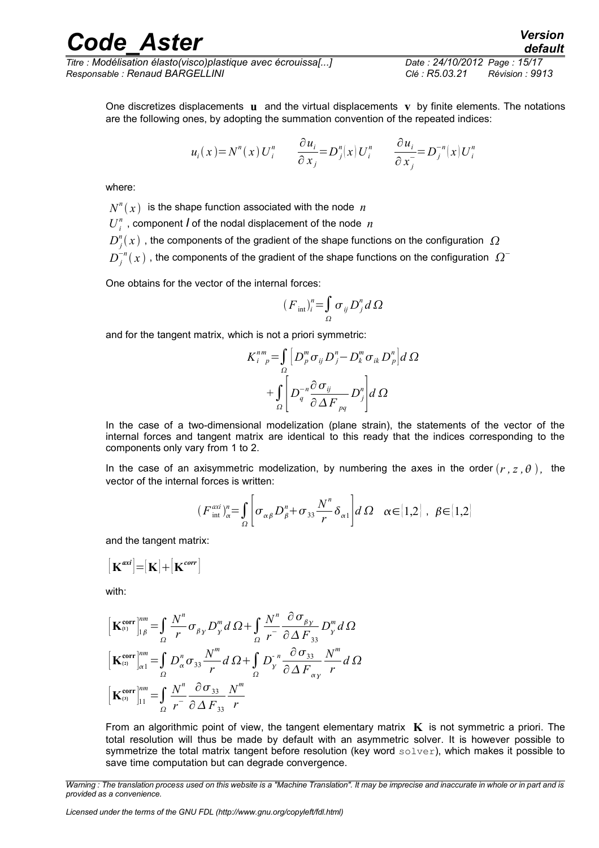One discretizes displacements  $\bf{u}$  and the virtual displacements  $\bf{v}$  by finite elements. The notations are the following ones, by adopting the summation convention of the repeated indices:

$$
u_i(x) = N^n(x) U_i^n \qquad \frac{\partial u_i}{\partial x_j} = D_j^n(x) U_i^n \qquad \frac{\partial u_i}{\partial x_j} = D_j^{-n}(x) U_i^n
$$

where:

 $N^n(x)$  is the shape function associated with the node  $n$ 

 $U_i^n$ , component *I* of the nodal displacement of the node  $n$ 

 $D_j^{\textit{n}}(x)$  , the components of the gradient of the shape functions on the configuration  $|\Omega\rangle$ 

 $D_{j}^{-n}(x)$  , the components of the gradient of the shape functions on the configuration  $|\Omega^{-}$ 

One obtains for the vector of the internal forces:

$$
(F_{int})_i^n = \int_{\Omega} \sigma_{ij} D_j^n d\Omega
$$

and for the tangent matrix, which is not a priori symmetric:

$$
K_{i-p}^{nm} = \int_{\Omega} \left[ D_p^m \sigma_{ij} D_j^n - D_k^m \sigma_{ik} D_p^n \right] d\Omega
$$

$$
+ \int_{\Omega} \left[ D_q^{-n} \frac{\partial \sigma_{ij}}{\partial \Delta F_{pq}} D_j^n \right] d\Omega
$$

In the case of a two-dimensional modelization (plane strain), the statements of the vector of the internal forces and tangent matrix are identical to this ready that the indices corresponding to the components only vary from 1 to 2.

In the case of an axisymmetric modelization, by numbering the axes in the order  $(r, z, \theta)$ , the vector of the internal forces is written:

$$
(F_{\text{int}}^{\alpha x i})_{\alpha}^{n} = \int_{\Omega} \left[ \sigma_{\alpha\beta} D_{\beta}^{n} + \sigma_{33} \frac{N^{n}}{r} \delta_{\alpha 1} \right] d\Omega \quad \alpha \in [1,2] \text{ , } \beta \in [1,2]
$$

and the tangent matrix:

$$
[\mathbf{K}^{axi}]\text{=}\left[\mathbf{K}\right]\text{+}\left[\mathbf{K}^{corr}\right]
$$

with:

$$
\begin{aligned}\n\left[\mathbf{K}_{\alpha}^{\text{corr}}\right]_{1\beta}^{nm} &= \int_{\Omega} \frac{N^n}{r} \sigma_{\beta\gamma} D_{\gamma}^m d\Omega + \int_{\Omega} \frac{N^n}{r} \frac{\partial \sigma_{\beta\gamma}}{\partial \Delta F_{33}} D_{\gamma}^m d\Omega \\
\left[\mathbf{K}_{\alpha}^{\text{corr}}\right]_{\alpha1}^{nm} &= \int_{\Omega} D_{\alpha}^n \sigma_{33} \frac{N^m}{r} d\Omega + \int_{\Omega} D_{\gamma}^n \frac{\partial \sigma_{33}}{\partial \Delta F_{\alpha\gamma}} \frac{N^m}{r} d\Omega \\
\left[\mathbf{K}_{\alpha}^{\text{corr}}\right]_{11}^{nm} &= \int_{\Omega} \frac{N^n}{r} \frac{\partial \sigma_{33}}{\partial \Delta F_{33}} \frac{N^m}{r}\n\end{aligned}
$$

From an algorithmic point of view, the tangent elementary matrix  $\bf{K}$  is not symmetric a priori. The total resolution will thus be made by default with an asymmetric solver. It is however possible to symmetrize the total matrix tangent before resolution (key word solver), which makes it possible to save time computation but can degrade convergence.

*Warning : The translation process used on this website is a "Machine Translation". It may be imprecise and inaccurate in whole or in part and is provided as a convenience.*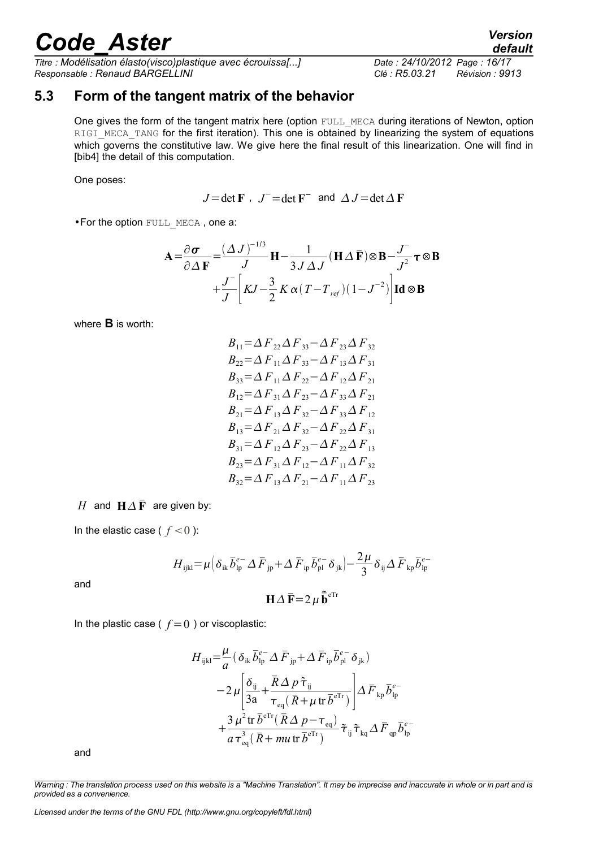*Titre : Modélisation élasto(visco)plastique avec écrouissa[...] Date : 24/10/2012 Page : 16/17 Responsable : Renaud BARGELLINI Clé : R5.03.21 Révision : 9913*

*default*

#### **5.3 Form of the tangent matrix of the behavior**

<span id="page-15-0"></span>One gives the form of the tangent matrix here (option FULL MECA during iterations of Newton, option RIGI\_MECA\_TANG for the first iteration). This one is obtained by linearizing the system of equations which governs the constitutive law. We give here the final result of this linearization. One will find in [bib4] the detail of this computation.

One poses:

 $J = \det \mathbf{F}$ ,  $J = \det \mathbf{F}$  and  $\Delta J = \det \Delta \mathbf{F}$ 

•For the option FULL\_MECA , one a:

$$
\mathbf{A} = \frac{\partial \mathbf{\sigma}}{\partial \Delta \mathbf{F}} = \frac{(\Delta J)^{-1/3}}{J} \mathbf{H} - \frac{1}{3J \Delta J} (\mathbf{H} \Delta \mathbf{\bar{F}}) \otimes \mathbf{B} - \frac{J}{J^2} \boldsymbol{\tau} \otimes \mathbf{B}
$$

$$
+ \frac{J}{J} \left[ KJ - \frac{3}{2} K \alpha (T - T_{ref})(1 - J^{-2}) \right] \mathbf{Id} \otimes \mathbf{B}
$$

where **B** is worth:

$$
B_{11} = \Delta F_{22} \Delta F_{33} - \Delta F_{23} \Delta F_{32}
$$
  
\n
$$
B_{22} = \Delta F_{11} \Delta F_{33} - \Delta F_{13} \Delta F_{31}
$$
  
\n
$$
B_{33} = \Delta F_{11} \Delta F_{22} - \Delta F_{12} \Delta F_{21}
$$
  
\n
$$
B_{12} = \Delta F_{31} \Delta F_{23} - \Delta F_{33} \Delta F_{21}
$$
  
\n
$$
B_{21} = \Delta F_{13} \Delta F_{32} - \Delta F_{33} \Delta F_{12}
$$
  
\n
$$
B_{13} = \Delta F_{21} \Delta F_{32} - \Delta F_{22} \Delta F_{31}
$$
  
\n
$$
B_{31} = \Delta F_{12} \Delta F_{23} - \Delta F_{22} \Delta F_{13}
$$
  
\n
$$
B_{23} = \Delta F_{31} \Delta F_{12} - \Delta F_{11} \Delta F_{32}
$$
  
\n
$$
B_{32} = \Delta F_{13} \Delta F_{21} - \Delta F_{11} \Delta F_{23}
$$

*H* and  $H \Delta \bar{F}$  are given by:

In the elastic case ( $f < 0$ ):

$$
H_{ijkl} = \mu \Big( \delta_{ik} \overline{b}_{lp}^{e-} \Delta \overline{F}_{jp} + \Delta \overline{F}_{ip} \overline{b}_{pl}^{e-} \delta_{jk} \Big) - \frac{2\mu}{3} \delta_{ij} \Delta \overline{F}_{kp} \overline{b}_{lp}^{e-}
$$

and

$$
\mathbf{H}\Delta\,\mathbf{\bar{F}}=2\,\mu\,\mathbf{\tilde{\bar{b}}}^{\text{el}}
$$

In the plastic case ( $f=0$ ) or viscoplastic:

$$
H_{ijkl} = \frac{\mu}{a} \left( \delta_{ik} \bar{b}_{ip}^{e^-} \Delta \bar{F}_{ip} + \Delta \bar{F}_{ip} \bar{b}_{pl}^{e^-} \delta_{jk} \right)
$$
  
\n
$$
-2 \mu \left[ \frac{\delta_{ij}}{3a} + \frac{\bar{R} \Delta p \tilde{\tau}_{ij}}{\tau_{eq} (\bar{R} + \mu \text{ tr } \bar{b}^{e\text{Tr}})} \right] \Delta F_{kp} \bar{b}_{ip}^{e^-}
$$
  
\n
$$
+ \frac{3 \mu^2 \text{ tr } \bar{b}^{e\text{Tr}} (\bar{R} \Delta p - \tau_{eq})}{a \tau_{eq}^3 (\bar{R} + m u \text{ tr } \bar{b}^{e\text{Tr}})} \tilde{\tau}_{ij} \tilde{\tau}_{kq} \Delta \bar{F}_{qp} \bar{b}_{ip}^{e^-}
$$

and

*Warning : The translation process used on this website is a "Machine Translation". It may be imprecise and inaccurate in whole or in part and is provided as a convenience.*